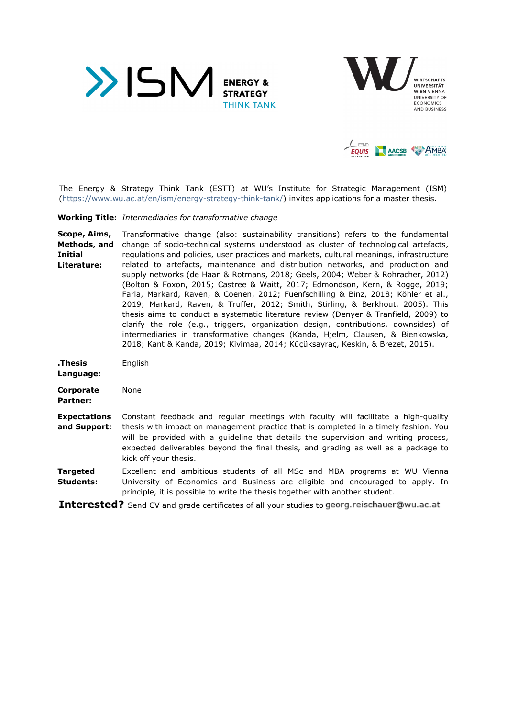





The Energy & Strategy Think Tank (ESTT) at WU's Institute for Strategic Management (ISM) (https://www.wu.ac.at/en/ism/energy-strategy-think-tank/) invites applications for a master thesis.

**Working Title:** *Intermediaries for transformative change* 

**Scope, Aims, Methods, and Initial Literature:**  Transformative change (also: sustainability transitions) refers to the fundamental change of socio-technical systems understood as cluster of technological artefacts, regulations and policies, user practices and markets, cultural meanings, infrastructure related to artefacts, maintenance and distribution networks, and production and supply networks (de Haan & Rotmans, 2018; Geels, 2004; Weber & Rohracher, 2012) (Bolton & Foxon, 2015; Castree & Waitt, 2017; Edmondson, Kern, & Rogge, 2019; Farla, Markard, Raven, & Coenen, 2012; Fuenfschilling & Binz, 2018; Köhler et al., 2019; Markard, Raven, & Truffer, 2012; Smith, Stirling, & Berkhout, 2005). This thesis aims to conduct a systematic literature review (Denyer & Tranfield, 2009) to clarify the role (e.g., triggers, organization design, contributions, downsides) of intermediaries in transformative changes (Kanda, Hjelm, Clausen, & Bienkowska, 2018; Kant & Kanda, 2019; Kivimaa, 2014; Küçüksayraç, Keskin, & Brezet, 2015).

**.Thesis**  English

**Language:** 

**Corporate Partner:**  None

**Expectations and Support:**  Constant feedback and regular meetings with faculty will facilitate a high-quality thesis with impact on management practice that is completed in a timely fashion. You will be provided with a guideline that details the supervision and writing process, expected deliverables beyond the final thesis, and grading as well as a package to kick off your thesis.

**Targeted Students:**  Excellent and ambitious students of all MSc and MBA programs at WU Vienna University of Economics and Business are eligible and encouraged to apply. In principle, it is possible to write the thesis together with another student.

**Interested?** Send CV and grade certificates of all your studies to georg.reischauer@wu.ac.at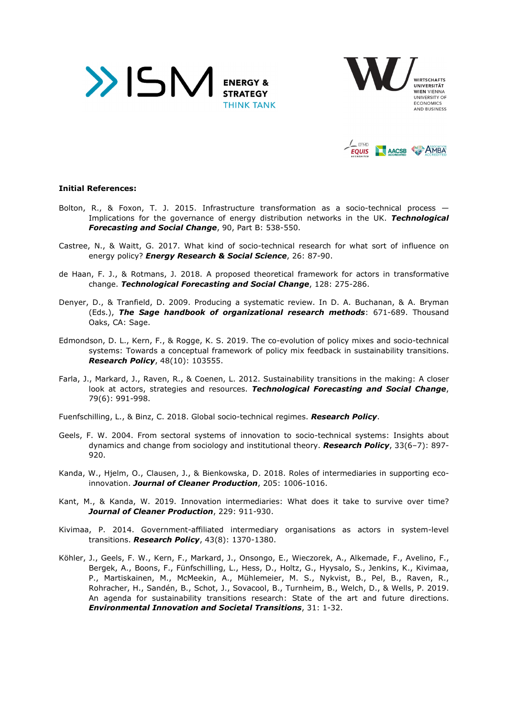





## **Initial References:**

- Bolton, R., & Foxon, T. J. 2015. Infrastructure transformation as a socio-technical process  $-$ Implications for the governance of energy distribution networks in the UK. *Technological Forecasting and Social Change*, 90, Part B: 538-550.
- Castree, N., & Waitt, G. 2017. What kind of socio-technical research for what sort of influence on energy policy? *Energy Research & Social Science*, 26: 87-90.
- de Haan, F. J., & Rotmans, J. 2018. A proposed theoretical framework for actors in transformative change. *Technological Forecasting and Social Change*, 128: 275-286.
- Denyer, D., & Tranfield, D. 2009. Producing a systematic review. In D. A. Buchanan, & A. Bryman (Eds.), *The Sage handbook of organizational research methods*: 671-689. Thousand Oaks, CA: Sage.
- Edmondson, D. L., Kern, F., & Rogge, K. S. 2019. The co-evolution of policy mixes and socio-technical systems: Towards a conceptual framework of policy mix feedback in sustainability transitions. *Research Policy*, 48(10): 103555.
- Farla, J., Markard, J., Raven, R., & Coenen, L. 2012. Sustainability transitions in the making: A closer look at actors, strategies and resources. *Technological Forecasting and Social Change*, 79(6): 991-998.

Fuenfschilling, L., & Binz, C. 2018. Global socio-technical regimes. *Research Policy*.

- Geels, F. W. 2004. From sectoral systems of innovation to socio-technical systems: Insights about dynamics and change from sociology and institutional theory. *Research Policy*, 33(6–7): 897- 920.
- Kanda, W., Hjelm, O., Clausen, J., & Bienkowska, D. 2018. Roles of intermediaries in supporting ecoinnovation. *Journal of Cleaner Production*, 205: 1006-1016.
- Kant, M., & Kanda, W. 2019. Innovation intermediaries: What does it take to survive over time? *Journal of Cleaner Production*, 229: 911-930.
- Kivimaa, P. 2014. Government-affiliated intermediary organisations as actors in system-level transitions. *Research Policy*, 43(8): 1370-1380.
- Köhler, J., Geels, F. W., Kern, F., Markard, J., Onsongo, E., Wieczorek, A., Alkemade, F., Avelino, F., Bergek, A., Boons, F., Fünfschilling, L., Hess, D., Holtz, G., Hyysalo, S., Jenkins, K., Kivimaa, P., Martiskainen, M., McMeekin, A., Mühlemeier, M. S., Nykvist, B., Pel, B., Raven, R., Rohracher, H., Sandén, B., Schot, J., Sovacool, B., Turnheim, B., Welch, D., & Wells, P. 2019. An agenda for sustainability transitions research: State of the art and future directions. *Environmental Innovation and Societal Transitions*, 31: 1-32.